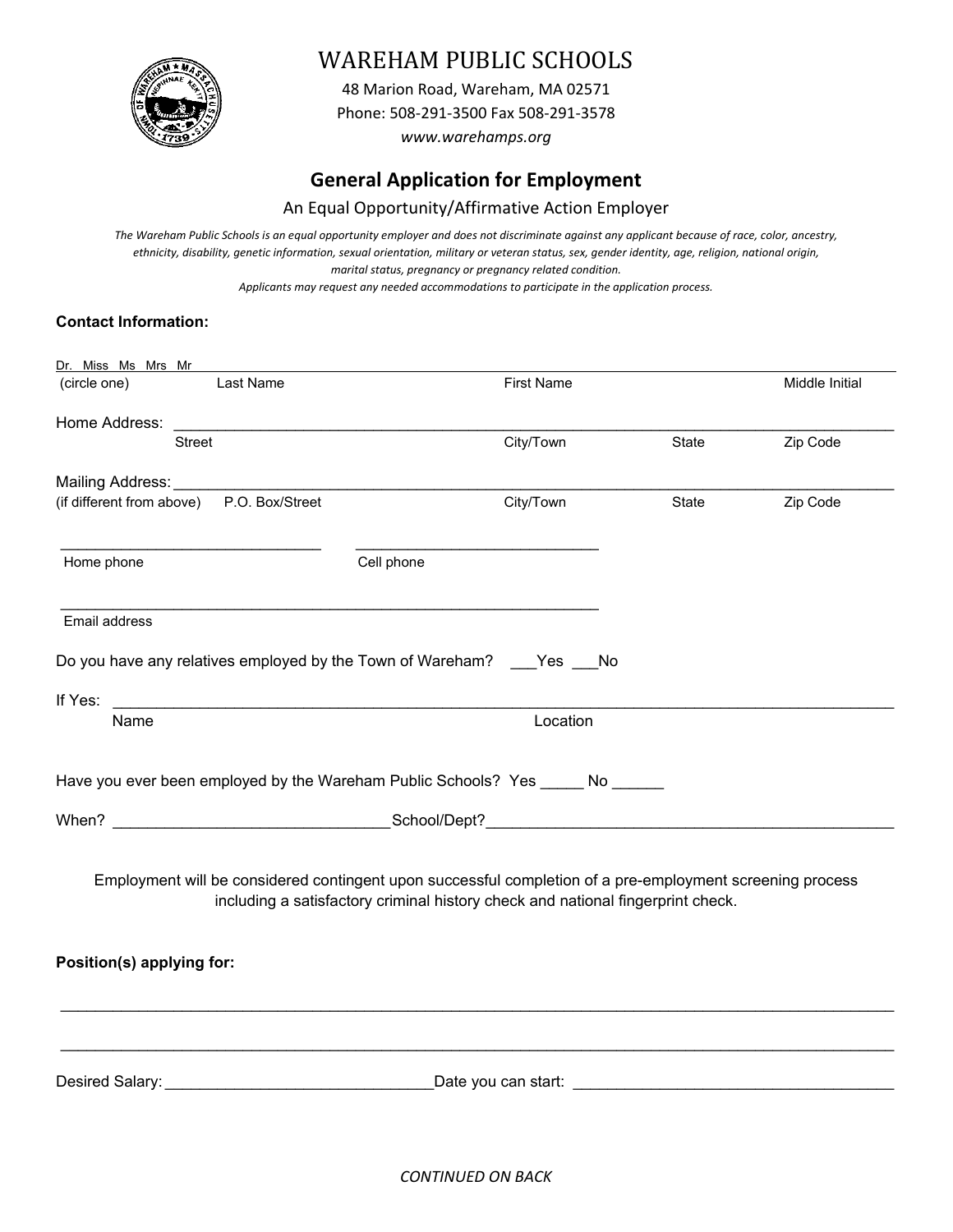

# WAREHAM PUBLIC SCHOOLS

48 Marion Road, Wareham, MA 02571 Phone: 508‐291‐3500 Fax 508‐291‐3578 *www.warehamps.org*

## **General Application for Employment**

### An Equal Opportunity/Affirmative Action Employer

*The Wareham Public Schools is an equal opportunity employer and does not discriminate against any applicant because of race, color, ancestry, ethnicity, disability, genetic information, sexual orientation, military or veteran status, sex, gender identity, age, religion, national origin, marital status, pregnancy or pregnancy related condition.* 

*Applicants may request any needed accommodations to participate in the application process.* 

### **Contact Information:**

| <b>First Name</b><br>City/Town<br>City/Town | State                                                                                                | Middle Initial<br>Zip Code                                                                                                                                                                                                                                                     |
|---------------------------------------------|------------------------------------------------------------------------------------------------------|--------------------------------------------------------------------------------------------------------------------------------------------------------------------------------------------------------------------------------------------------------------------------------|
|                                             |                                                                                                      |                                                                                                                                                                                                                                                                                |
|                                             |                                                                                                      |                                                                                                                                                                                                                                                                                |
|                                             |                                                                                                      |                                                                                                                                                                                                                                                                                |
|                                             |                                                                                                      |                                                                                                                                                                                                                                                                                |
|                                             | State                                                                                                | Zip Code                                                                                                                                                                                                                                                                       |
|                                             |                                                                                                      |                                                                                                                                                                                                                                                                                |
|                                             |                                                                                                      |                                                                                                                                                                                                                                                                                |
|                                             |                                                                                                      |                                                                                                                                                                                                                                                                                |
|                                             |                                                                                                      |                                                                                                                                                                                                                                                                                |
|                                             |                                                                                                      |                                                                                                                                                                                                                                                                                |
|                                             |                                                                                                      |                                                                                                                                                                                                                                                                                |
|                                             |                                                                                                      |                                                                                                                                                                                                                                                                                |
|                                             |                                                                                                      |                                                                                                                                                                                                                                                                                |
|                                             |                                                                                                      |                                                                                                                                                                                                                                                                                |
|                                             |                                                                                                      |                                                                                                                                                                                                                                                                                |
|                                             | Cell phone<br>Do you have any relatives employed by the Town of Wareham? ____ Yes ___ No<br>Location | Have you ever been employed by the Wareham Public Schools? Yes _____ No ______<br>Employment will be considered contingent upon successful completion of a pre-employment screening process<br>including a satisfactory criminal history check and national fingerprint check. |